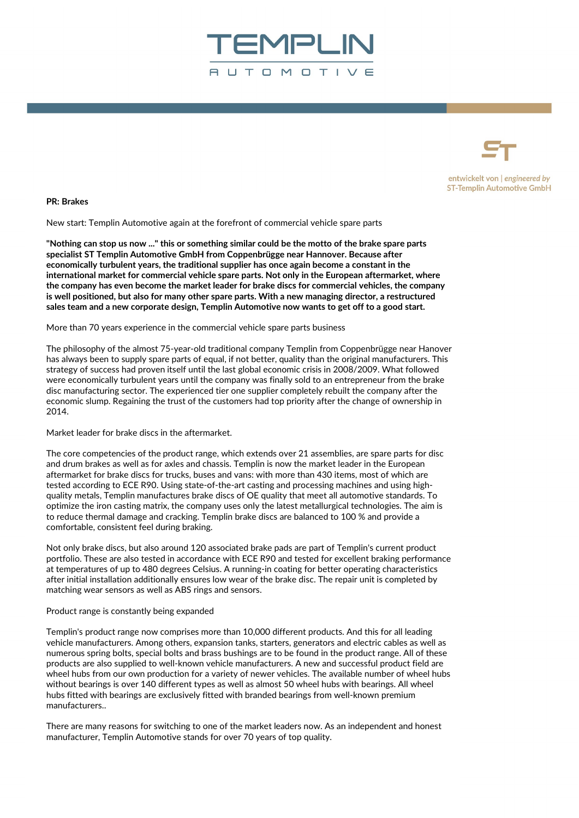



entwickelt von | engineered by **ST-Templin Automotive GmbH** 

**PR: Brakes**

New start: Templin Automotive again at the forefront of commercial vehicle spare parts

**"Nothing can stop us now ..." this or something similar could be the motto of the brake spare parts specialist ST Templin Automotive GmbH from Coppenbrügge near Hannover. Because after economically turbulent years, the traditional supplier has once again become a constant in the international market for commercial vehicle spare parts. Not only in the European aftermarket, where the company has even become the market leader for brake discs for commercial vehicles, the company is well positioned, but also for many other spare parts. With a new managing director, a restructured sales team and a new corporate design, Templin Automotive now wants to get off to a good start.**

More than 70 years experience in the commercial vehicle spare parts business

The philosophy of the almost 75-year-old traditional company Templin from Coppenbrügge near Hanover has always been to supply spare parts of equal, if not better, quality than the original manufacturers. This strategy of success had proven itself until the last global economic crisis in 2008/2009. What followed were economically turbulent years until the company was finally sold to an entrepreneur from the brake disc manufacturing sector. The experienced tier one supplier completely rebuilt the company after the economic slump. Regaining the trust of the customers had top priority after the change of ownership in 2014.

Market leader for brake discs in the aftermarket.

The core competencies of the product range, which extends over 21 assemblies, are spare parts for disc and drum brakes as well as for axles and chassis. Templin is now the market leader in the European aftermarket for brake discs for trucks, buses and vans: with more than 430 items, most of which are tested according to ECE R90. Using state-of-the-art casting and processing machines and using highquality metals, Templin manufactures brake discs of OE quality that meet all automotive standards. To optimize the iron casting matrix, the company uses only the latest metallurgical technologies. The aim is to reduce thermal damage and cracking. Templin brake discs are balanced to 100 % and provide a comfortable, consistent feel during braking.

Not only brake discs, but also around 120 associated brake pads are part of Templin's current product portfolio. These are also tested in accordance with ECE R90 and tested for excellent braking performance at temperatures of up to 480 degrees Celsius. A running-in coating for better operating characteristics after initial installation additionally ensures low wear of the brake disc. The repair unit is completed by matching wear sensors as well as ABS rings and sensors.

Product range is constantly being expanded

Templin's product range now comprises more than 10,000 different products. And this for all leading vehicle manufacturers. Among others, expansion tanks, starters, generators and electric cables as well as numerous spring bolts, special bolts and brass bushings are to be found in the product range. All of these products are also supplied to well-known vehicle manufacturers. A new and successful product field are wheel hubs from our own production for a variety of newer vehicles. The available number of wheel hubs without bearings is over 140 different types as well as almost 50 wheel hubs with bearings. All wheel hubs fitted with bearings are exclusively fitted with branded bearings from well-known premium manufacturers..

There are many reasons for switching to one of the market leaders now. As an independent and honest manufacturer, Templin Automotive stands for over 70 years of top quality.